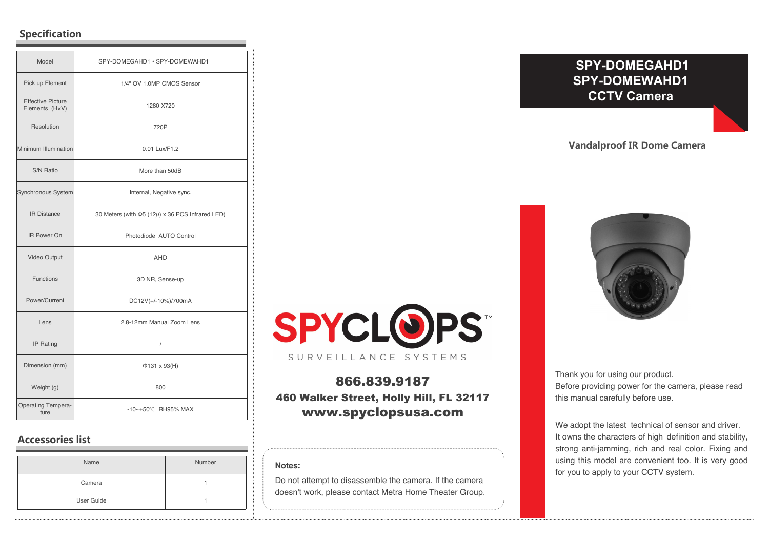## **Specification**

| Model                                      | SPY-DOMEGAHD1 · SPY-DOMEWAHD1                         |  |
|--------------------------------------------|-------------------------------------------------------|--|
| Pick up Element                            | 1/4" OV 1.0MP CMOS Sensor                             |  |
| <b>Effective Picture</b><br>Elements (HxV) | 1280 X720                                             |  |
| Resolution                                 | 720P                                                  |  |
| Minimum Illumination                       | 0.01 Lux/F1.2                                         |  |
| S/N Ratio                                  | More than 50dB                                        |  |
| Synchronous System                         | Internal, Negative sync.                              |  |
| <b>IR Distance</b>                         | 30 Meters (with $\Phi$ 5 (12µ) x 36 PCS Infrared LED) |  |
| <b>IR Power On</b>                         | Photodiode AUTO Control                               |  |
| Video Output                               | AHD                                                   |  |
| <b>Functions</b>                           | 3D NR, Sense-up                                       |  |
| Power/Current                              | DC12V(+/-10%)/700mA                                   |  |
| Lens                                       | 2.8-12mm Manual Zoom Lens                             |  |
| IP Rating                                  | $\sqrt{2}$                                            |  |
| Dimension (mm)                             | $\Phi$ 131 x 93(H)                                    |  |
| Weight (g)                                 | 800                                                   |  |
| <b>Operating Tempera-</b><br>ture          | -10~+50°C RH95% MAX                                   |  |

## **Accessories list**

| Name       | Number |
|------------|--------|
| Camera     |        |
| User Guide |        |



# 866.839.9187 460 Walker Street, Holly Hill, FL 32117www.spyclopsusa.com

#### **Notes:**

Do not attempt to disassemble the camera. If the camera doesn't work, please contact Metra Home Theater Group.

# **SPY-DOMEGAHD1 SPY-DOMEWAHD1CCTV Camera**

### **Vandalproof IR Dome Camera**



Thank you for using our product. Before providing power for the camera, please read this manual carefully before use.

We adopt the latest technical of sensor and driver. It owns the characters of high definition and stability, strong anti-jamming, rich and real color. Fixing and using this model are convenient too. It is very good for you to apply to your CCTV system.